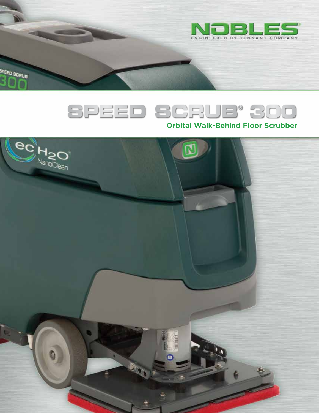



SPEED SCRUB

# **Orbital Walk-Behind Floor Scrubber**

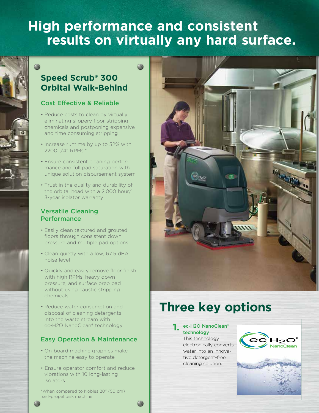# **High performance and consistent results on virtually any hard surface.**

# **Speed Scrub® 300 Orbital Walk-Behind**

## Cost Effective & Reliable

- Reduce costs to clean by virtually eliminating slippery floor stripping chemicals and postponing expensive and time consuming stripping
- Increase runtime by up to 32% with 2200 1/4" RPMs.\*
- Ensure consistent cleaning performance and full pad saturation with unique solution disbursement system
- Trust in the quality and durability of the orbital head with a 2,000 hour/ 3-year isolator warranty

## Versatile Cleaning **Performance**

- Easily clean textured and grouted floors through consistent down pressure and multiple pad options
- Clean quietly with a low, 67.5 dBA noise level
- Quickly and easily remove floor finish with high RPMs, heavy down pressure, and surface prep pad without using caustic stripping chemicals
- Reduce water consumption and disposal of cleaning detergents into the waste stream with ec-H2O NanoClean® technology

# Easy Operation & Maintenance

- On-board machine graphics make the machine easy to operate
- Ensure operator comfort and reduce vibrations with 10 long-lasting isolators
- \*When compared to Nobles 20" (50 cm) self-propel disk machine.



# **Three key options**

#### ec-H2O NanoClean® technology

**1.**

This technology electronically converts water into an innovative detergent-free cleaning solution.

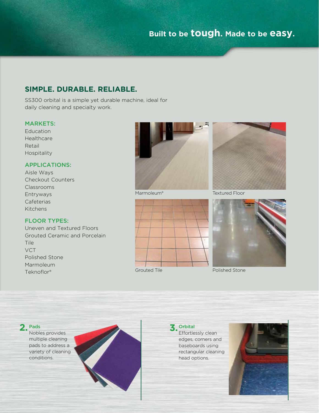# **SIMPLE. DURABLE. RELIABLE.**

SS300 orbital is a simple yet durable machine, ideal for daily cleaning and specialty work.

## MARKETS:

Education Healthcare Retail Hospitality

### APPLICATIONS:

Aisle Ways Checkout Counters Classrooms Entryways Cafeterias Kitchens

## FLOOR TYPES:

Uneven and Textured Floors Grouted Ceramic and Porcelain Tile **VCT** Polished Stone Marmoleum Teknoflor®









#### Pads **2.**

Nobles provides multiple cleaning pads to address a variety of cleaning conditions.





Effortlessly clean edges, corners and baseboards using rectangular cleaning head options.